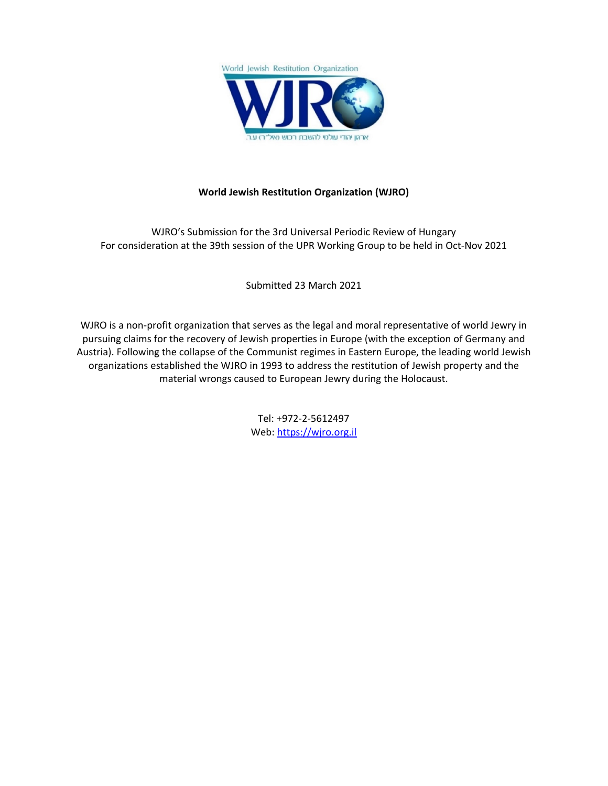

# **World Jewish Restitution Organization (WJRO)**

WJRO'<sup>s</sup> Submission for the 3rd Universal Periodic Review of Hungary For consideration at the 39th session of the UPR Working Group to be held in Oct-Nov 2021

Submitted 23 March 2021

WJRO is <sup>a</sup> non-profit organization that serves as the legal and moral representative of world Jewry in pursuing claims for the recovery of Jewish properties in Europe (with the exception of Germany and Austria). Following the collapse of the Communist regimes in Eastern Europe, the leading world Jewish organizations established the WJRO in 1993 to address the restitution of Jewish property and the material wrongs caused to European Jewry during the Holocaust.

> Tel: +972-2-5612497 Web: <https://wjro.org.il>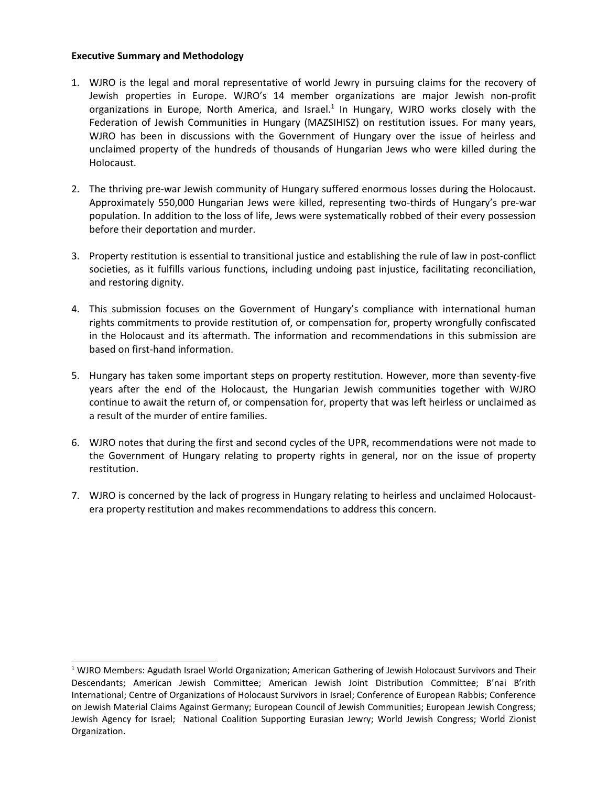### **Executive Summary and Methodology**

- 1. WJRO is the legal and moral representative of world Jewry in pursuing claims for the recovery of Jewish properties in Europe. WJRO'<sup>s</sup> 14 member organizations are major Jewish non-profit organizations in Europe, North America, and Israel.<sup>1</sup> In Hungary, WJRO works closely with the Federation of Jewish Communities in Hungary (MAZSIHISZ) on restitution issues. For many years, WJRO has been in discussions with the Government of Hungary over the issue of heirless and unclaimed property of the hundreds of thousands of Hungarian Jews who were killed during the Holocaust.
- 2. The thriving pre-war Jewish community of Hungary suffered enormous losses during the Holocaust. Approximately 550,000 Hungarian Jews were killed, representing two-thirds of Hungary'<sup>s</sup> pre-war population. In addition to the loss of life, Jews were systematically robbed of their every possession before their deportation and murder.
- 3. Property restitution is essential to transitional justice and establishing the rule of law in post-conflict societies, as it fulfills various functions, including undoing past injustice, facilitating reconciliation, and restoring dignity.
- 4. This submission focuses on the Government of Hungary'<sup>s</sup> compliance with international human rights commitments to provide restitution of, or compensation for, property wrongfully confiscated in the Holocaust and its aftermath. The information and recommendations in this submission are based on first-hand information.
- 5. Hungary has taken some important steps on property restitution. However, more than seventy-five years after the end of the Holocaust, the Hungarian Jewish communities together with WJRO continue to await the return of, or compensation for, property that was left heirless or unclaimed as <sup>a</sup> result of the murder of entire families.
- 6. WJRO notes that during the first and second cycles of the UPR, recommendations were not made to the Government of Hungary relating to property rights in general, nor on the issue of property restitution.
- 7. WJRO is concerned by the lack of progress in Hungary relating to heirless and unclaimed Holocaustera property restitution and makes recommendations to address this concern.

<sup>&</sup>lt;sup>1</sup> WJRO Members: Agudath Israel World Organization; American Gathering of Jewish Holocaust Survivors and Their Descendants; American Jewish Committee; American Jewish Joint Distribution Committee; B'nai B'rith International; Centre of Organizations of Holocaust Survivors in Israel; Conference of European Rabbis; Conference on Jewish Material Claims Against Germany; European Council of Jewish Communities; European Jewish Congress; Jewish Agency for Israel; National Coalition Supporting Eurasian Jewry; World Jewish Congress; World Zionist Organization.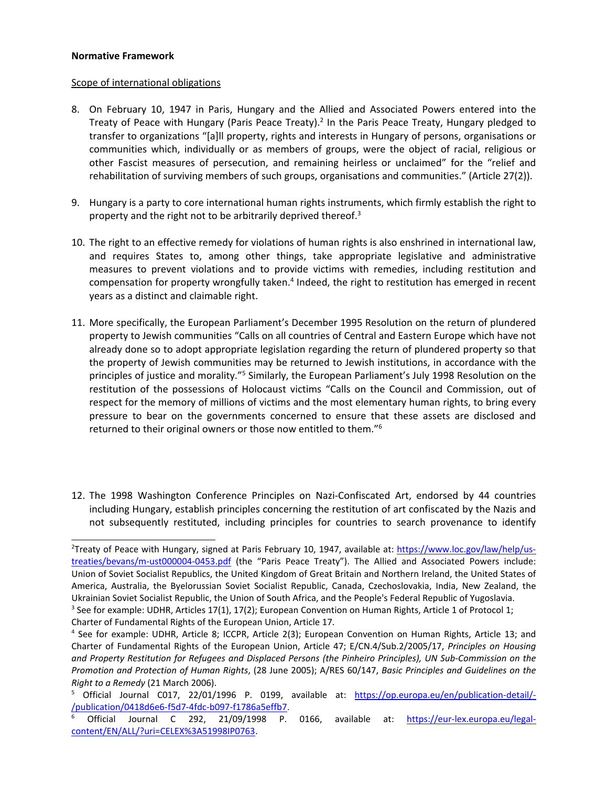#### **Normative Framework**

#### Scope of international obligations

- 8. On February 10, 1947 in Paris, Hungary and the Allied and Associated Powers entered into the Treaty of Peace with Hungary (Paris Peace Treaty).<sup>2</sup> In the Paris Peace Treaty, Hungary pledged to transfer to organizations "[a]ll property, rights and interests in Hungary of persons, organisations or communities which, individually or as members of groups, were the object of racial, religious or other Fascist measures of persecution, and remaining heirless or unclaimed" for the "relief and rehabilitation of surviving members of such groups, organisations and communities." (Article 27(2)).
- 9. Hungary is <sup>a</sup> party to core international human rights instruments, which firmly establish the right to property and the right not to be arbitrarily deprived thereof.<sup>3</sup>
- 10. The right to an effective remedy for violations of human rights is also enshrined in international law, and requires States to, among other things, take appropriate legislative and administrative measures to prevent violations and to provide victims with remedies, including restitution and compensation for property wrongfully taken.<sup>4</sup> Indeed, the right to restitution has emerged in recent years as <sup>a</sup> distinct and claimable right.
- 11. More specifically, the European Parliament'<sup>s</sup> December 1995 Resolution on the return of plundered property to Jewish communities "Calls on all countries of Central and Eastern Europe which have not already done so to adopt appropriate legislation regarding the return of plundered property so that the property of Jewish communities may be returned to Jewish institutions, in accordance with the principles of justice and morality."<sup>5</sup> Similarly, the European Parliament's July 1998 Resolution on the restitution of the possessions of Holocaust victims "Calls on the Council and Commission, out of respect for the memory of millions of victims and the most elementary human rights, to bring every pressure to bear on the governments concerned to ensure that these assets are disclosed and returned to their original owners or those now entitled to them." 6
- 12. The 1998 Washington Conference Principles on Nazi-Confiscated Art, endorsed by 44 countries including Hungary, establish principles concerning the restitution of art confiscated by the Nazis and not subsequently restituted, including principles for countries to search provenance to identify

<sup>&</sup>lt;sup>2</sup>Treaty of Peace with Hungary, signed at Paris February 10, 1947, available at: [https://www.loc.gov/law/help/us](https://www.loc.gov/law/help/us-treaties/bevans/m-ust000004-0453.pdf)[treaties/bevans/m-ust000004-0453.pdf](https://www.loc.gov/law/help/us-treaties/bevans/m-ust000004-0453.pdf) (the "Paris Peace Treaty"). The Allied and Associated Powers include: Union of Soviet Socialist Republics, the United Kingdom of Great Britain and Northern Ireland, the United States of America, Australia, the Byelorussian Soviet Socialist Republic, Canada, Czechoslovakia, India, New Zealand, the Ukrainian Soviet Socialist Republic, the Union of South Africa, and the People's Federal Republic of Yugoslavia.

<sup>&</sup>lt;sup>3</sup> See for example: UDHR, Articles 17(1), 17(2); European Convention on Human Rights, Article 1 of Protocol 1; Charter of Fundamental Rights of the European Union, Article 17.

<sup>4</sup> See for example: UDHR, Article 8; ICCPR, Article 2(3); European Convention on Human Rights, Article 13; and Charter of Fundamental Rights of the European Union, Article 47; E/CN.4/Sub.2/2005/17, *Principles on Housing and Property Restitution for Refugees and Displaced Persons (the Pinheiro Principles), UN Sub-Commission on the Promotion and Protection of Human Rights*, (28 June 2005); A/RES 60/147, *Basic Principles and Guidelines on the Right to <sup>a</sup> Remedy* (21 March 2006).

<sup>&</sup>lt;sup>5</sup> Official Journal C017, 22/01/1996 P. 0199, available at: [https://op.europa.eu/en/publication-detail/-](https://op.europa.eu/en/publication-detail/-/publication/0418d6e6-f5d7-4fdc-b097-f1786a5effb7) [/publication/0418d6e6-f5d7-4fdc-b097-f1786a5effb7](https://op.europa.eu/en/publication-detail/-/publication/0418d6e6-f5d7-4fdc-b097-f1786a5effb7).

<sup>6</sup> Official Journal C 292, 21/09/1998 P. 0166, available at: [https://eur-lex.europa.eu/legal](https://eur-lex.europa.eu/legal-content/EN/ALL/?uri=CELEX%3A51998IP0763)[content/EN/ALL/?uri=CELEX%3A51998IP0763](https://eur-lex.europa.eu/legal-content/EN/ALL/?uri=CELEX%3A51998IP0763).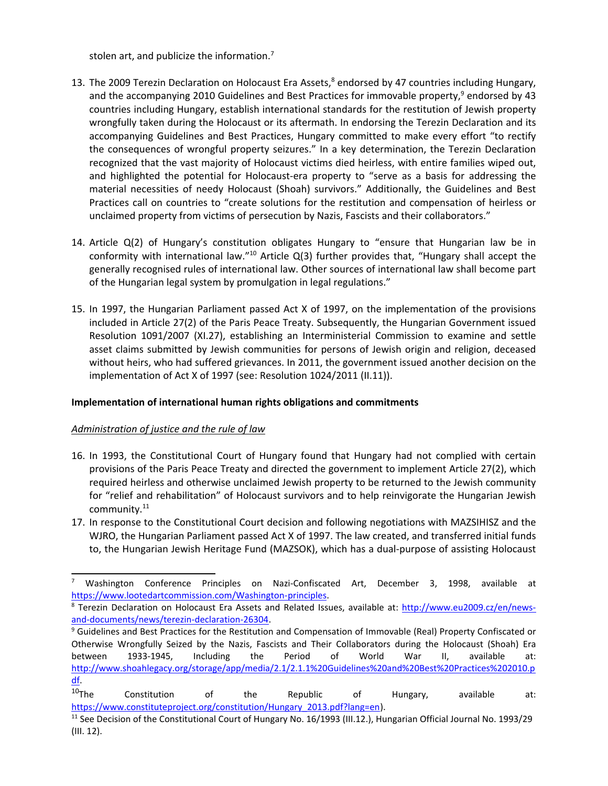stolen art, and publicize the information.<sup>7</sup>

- 13. The 2009 Terezin Declaration on Holocaust Era Assets,<sup>8</sup> endorsed by 47 countries including Hungary, and the accompanying 2010 Guidelines and Best Practices for immovable property,<sup>9</sup> endorsed by 43 countries including Hungary, establish international standards for the restitution of Jewish property wrongfully taken during the Holocaust or its aftermath. In endorsing the Terezin Declaration and its accompanying Guidelines and Best Practices, Hungary committed to make every effort "to rectify the consequences of wrongful property seizures." In <sup>a</sup> key determination, the Terezin Declaration recognized that the vast majority of Holocaust victims died heirless, with entire families wiped out, and highlighted the potential for Holocaust-era property to "serve as <sup>a</sup> basis for addressing the material necessities of needy Holocaust (Shoah) survivors." Additionally, the Guidelines and Best Practices call on countries to "create solutions for the restitution and compensation of heirless or unclaimed property from victims of persecution by Nazis, Fascists and their collaborators."
- 14. Article Q(2) of Hungary'<sup>s</sup> constitution obligates Hungary to "ensure that Hungarian law be in conformity with international law."<sup>10</sup> Article Q(3) further provides that, "Hungary shall accept the generally recognised rules of international law. Other sources of international law shall become part of the Hungarian legal system by promulgation in legal regulations."
- 15. In 1997, the Hungarian Parliament passed Act X of 1997, on the implementation of the provisions included in Article 27(2) of the Paris Peace Treaty. Subsequently, the Hungarian Government issued Resolution 1091/2007 (XI.27), establishing an Interministerial Commission to examine and settle asset claims submitted by Jewish communities for persons of Jewish origin and religion, deceased without heirs, who had suffered grievances. In 2011, the government issued another decision on the implementation of Act X of 1997 (see: Resolution 1024/2011 (II.11)).

## **Implementation of international human rights obligations and commitments**

## *Administration of justice and the rule of law*

- 16. In 1993, the Constitutional Court of Hungary found that Hungary had not complied with certain provisions of the Paris Peace Treaty and directed the government to implement Article 27(2), which required heirless and otherwise unclaimed Jewish property to be returned to the Jewish community for "relief and rehabilitation" of Holocaust survivors and to help reinvigorate the Hungarian Jewish community.<sup>11</sup>
- 17. In response to the Constitutional Court decision and following negotiations with MAZSIHISZ and the WJRO, the Hungarian Parliament passed Act X of 1997. The law created, and transferred initial funds to, the Hungarian Jewish Heritage Fund (MAZSOK), which has <sup>a</sup> dual-purpose of assisting Holocaust

 $\alpha$ 

<sup>7</sup> Washington Conference Principles on Nazi-Confiscated Art, December 3, 1998, available at <https://www.lootedartcommission.com/Washington-principles>.

<sup>&</sup>lt;sup>8</sup> Terezin Declaration on Holocaust Era Assets and Related Issues, available at: [http://www.eu2009.cz/en/news](http://www.eu2009.cz/en/news-and-documents/news/terezin-declaration-26304)[and-documents/news/terezin-declaration-26304](http://www.eu2009.cz/en/news-and-documents/news/terezin-declaration-26304).

<sup>9</sup> Guidelines and Best Practices for the Restitution and Compensation of Immovable (Real) Property Confiscated or Otherwise Wrongfully Seized by the Nazis, Fascists and Their Collaborators during the Holocaust (Shoah) Era between 1933-1945, Including the Period of World War II, available at: [http://www.shoahlegacy.org/storage/app/media/2.1/2.1.1%20Guidelines%20and%20Best%20Practices%202010.p](http://www.shoahlegacy.org/storage/app/media/2.1/2.1.1%20Guidelines%20and%20Best%20Practices%202010.pdf) [df](http://www.shoahlegacy.org/storage/app/media/2.1/2.1.1%20Guidelines%20and%20Best%20Practices%202010.pdf).

 $10$ The Constitution of the Republic of Hungary, available at: [https://www.constituteproject.org/constitution/Hungary\\_2013.pdf?lang=en](https://www.constituteproject.org/constitution/Hungary_2013.pdf?lang=en)).

<sup>&</sup>lt;sup>11</sup> See Decision of the Constitutional Court of Hungary No. 16/1993 (III.12.), Hungarian Official Journal No. 1993/29 (III. 12).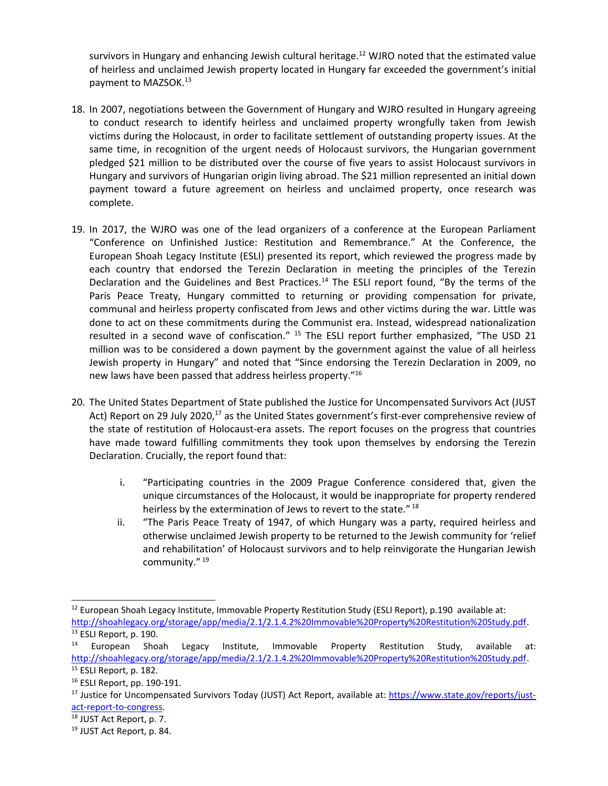survivors in Hungary and enhancing Jewish cultural heritage.<sup>12</sup> WJRO noted that the estimated value of heirless and unclaimed Jewish property located in Hungary far exceeded the government'<sup>s</sup> initial payment to MAZSOK.<sup>13</sup>

- 18. In 2007, negotiations between the Government of Hungary and WJRO resulted in Hungary agreeing to conduct research to identify heirless and unclaimed property wrongfully taken from Jewish victims during the Holocaust, in order to facilitate settlement of outstanding property issues. At the same time, in recognition of the urgent needs of Holocaust survivors, the Hungarian government pledged \$21 million to be distributed over the course of five years to assist Holocaust survivors in Hungary and survivors of Hungarian origin living abroad. The \$21 million represented an initial down payment toward <sup>a</sup> future agreement on heirless and unclaimed property, once research was complete.
- 19. In 2017, the WJRO was one of the lead organizers of <sup>a</sup> conference at the European Parliament "Conference on Unfinished Justice: Restitution and Remembrance." At the Conference, the European Shoah Legacy Institute (ESLI) presented its report, which reviewed the progress made by each country that endorsed the Terezin Declaration in meeting the principles of the Terezin Declaration and the Guidelines and Best Practices.<sup>14</sup> The ESLI report found, "By the terms of the Paris Peace Treaty, Hungary committed to returning or providing compensation for private, communal and heirless property confiscated from Jews and other victims during the war. Little was done to act on these commitments during the Communist era. Instead, widespread nationalization resulted in a second wave of confiscation." <sup>15</sup> The ESLI report further emphasized, "The USD 21 million was to be considered <sup>a</sup> down payment by the government against the value of all heirless Jewish property in Hungary" and noted that "Since endorsing the Terezin Declaration in 2009, no new laws have been passed that address heirless property." 16
- 20. The United States Department of State published the Justice for Uncompensated Survivors Act (JUST Act) Report on 29 July 2020,<sup>17</sup> as the United States government's first-ever comprehensive review of the state of restitution of Holocaust-era assets. The report focuses on the progress that countries have made toward fulfilling commitments they took upon themselves by endorsing the Terezin Declaration. Crucially, the report found that:
	- i. "Participating countries in the 2009 Prague Conference considered that, given the unique circumstances of the Holocaust, it would be inappropriate for property rendered heirless by the extermination of Jews to revert to the state."  $^{18}$
	- ii. "The Paris Peace Treaty of 1947, of which Hungary was <sup>a</sup> party, required heirless and otherwise unclaimed Jewish property to be returned to the Jewish community for 'relief and rehabilitation' of Holocaust survivors and to help reinvigorate the Hungarian Jewish community." 19

<sup>&</sup>lt;sup>12</sup> European Shoah Legacy Institute, Immovable Property Restitution Study (ESLI Report), p.190 available at: <http://shoahlegacy.org/storage/app/media/2.1/2.1.4.2%20Immovable%20Property%20Restitution%20Study.pdf>. <sup>13</sup> ESLI Report, p. 190.

<sup>14</sup> European Shoah Legacy Institute, Immovable Property Restitution Study, available at: <http://shoahlegacy.org/storage/app/media/2.1/2.1.4.2%20Immovable%20Property%20Restitution%20Study.pdf>. <sup>15</sup> ESLI Report, p. 182.

<sup>16</sup> ESLI Report, pp. 190-191.

<sup>&</sup>lt;sup>17</sup> Justice for Uncompensated Survivors Today (JUST) Act Report, available at: [https://www.state.gov/reports/just](https://www.state.gov/reports/just-act-report-to-congress)[act-report-to-congress](https://www.state.gov/reports/just-act-report-to-congress).

<sup>&</sup>lt;sup>18</sup> JUST Act Report, p. 7.

<sup>19</sup> JUST Act Report, p. 84.